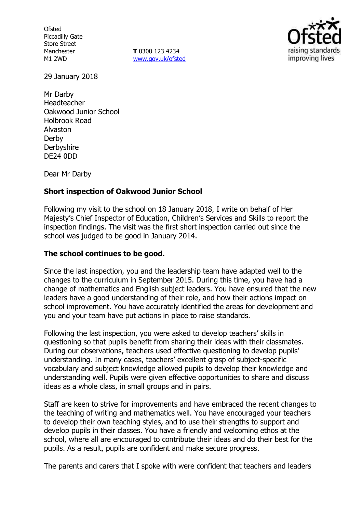**Ofsted** Piccadilly Gate Store Street Manchester M1 2WD

**T** 0300 123 4234 www.gov.uk/ofsted



29 January 2018

Mr Darby Headteacher Oakwood Junior School Holbrook Road Alvaston Derby **Derbyshire** DE24 0DD

Dear Mr Darby

# **Short inspection of Oakwood Junior School**

Following my visit to the school on 18 January 2018, I write on behalf of Her Majesty's Chief Inspector of Education, Children's Services and Skills to report the inspection findings. The visit was the first short inspection carried out since the school was judged to be good in January 2014.

## **The school continues to be good.**

Since the last inspection, you and the leadership team have adapted well to the changes to the curriculum in September 2015. During this time, you have had a change of mathematics and English subject leaders. You have ensured that the new leaders have a good understanding of their role, and how their actions impact on school improvement. You have accurately identified the areas for development and you and your team have put actions in place to raise standards.

Following the last inspection, you were asked to develop teachers' skills in questioning so that pupils benefit from sharing their ideas with their classmates. During our observations, teachers used effective questioning to develop pupils' understanding. In many cases, teachers' excellent grasp of subject-specific vocabulary and subject knowledge allowed pupils to develop their knowledge and understanding well. Pupils were given effective opportunities to share and discuss ideas as a whole class, in small groups and in pairs.

Staff are keen to strive for improvements and have embraced the recent changes to the teaching of writing and mathematics well. You have encouraged your teachers to develop their own teaching styles, and to use their strengths to support and develop pupils in their classes. You have a friendly and welcoming ethos at the school, where all are encouraged to contribute their ideas and do their best for the pupils. As a result, pupils are confident and make secure progress.

The parents and carers that I spoke with were confident that teachers and leaders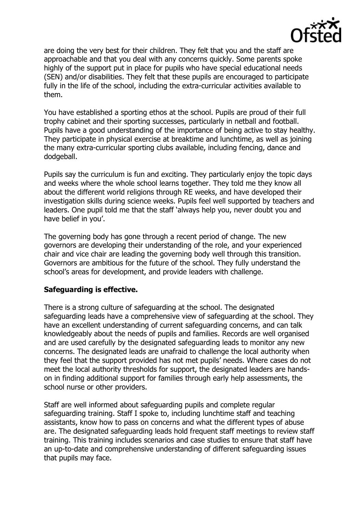

are doing the very best for their children. They felt that you and the staff are approachable and that you deal with any concerns quickly. Some parents spoke highly of the support put in place for pupils who have special educational needs (SEN) and/or disabilities. They felt that these pupils are encouraged to participate fully in the life of the school, including the extra-curricular activities available to them.

You have established a sporting ethos at the school. Pupils are proud of their full trophy cabinet and their sporting successes, particularly in netball and football. Pupils have a good understanding of the importance of being active to stay healthy. They participate in physical exercise at breaktime and lunchtime, as well as joining the many extra-curricular sporting clubs available, including fencing, dance and dodgeball.

Pupils say the curriculum is fun and exciting. They particularly enjoy the topic days and weeks where the whole school learns together. They told me they know all about the different world religions through RE weeks, and have developed their investigation skills during science weeks. Pupils feel well supported by teachers and leaders. One pupil told me that the staff 'always help you, never doubt you and have belief in you'.

The governing body has gone through a recent period of change. The new governors are developing their understanding of the role, and your experienced chair and vice chair are leading the governing body well through this transition. Governors are ambitious for the future of the school. They fully understand the school's areas for development, and provide leaders with challenge.

## **Safeguarding is effective.**

There is a strong culture of safeguarding at the school. The designated safeguarding leads have a comprehensive view of safeguarding at the school. They have an excellent understanding of current safeguarding concerns, and can talk knowledgeably about the needs of pupils and families. Records are well organised and are used carefully by the designated safeguarding leads to monitor any new concerns. The designated leads are unafraid to challenge the local authority when they feel that the support provided has not met pupils' needs. Where cases do not meet the local authority thresholds for support, the designated leaders are handson in finding additional support for families through early help assessments, the school nurse or other providers.

Staff are well informed about safeguarding pupils and complete regular safeguarding training. Staff I spoke to, including lunchtime staff and teaching assistants, know how to pass on concerns and what the different types of abuse are. The designated safeguarding leads hold frequent staff meetings to review staff training. This training includes scenarios and case studies to ensure that staff have an up-to-date and comprehensive understanding of different safeguarding issues that pupils may face.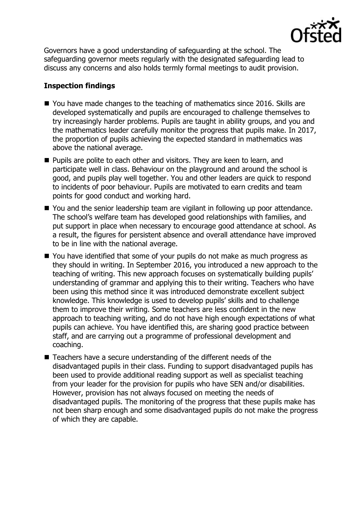

Governors have a good understanding of safeguarding at the school. The safeguarding governor meets regularly with the designated safeguarding lead to discuss any concerns and also holds termly formal meetings to audit provision.

# **Inspection findings**

- You have made changes to the teaching of mathematics since 2016. Skills are developed systematically and pupils are encouraged to challenge themselves to try increasingly harder problems. Pupils are taught in ability groups, and you and the mathematics leader carefully monitor the progress that pupils make. In 2017, the proportion of pupils achieving the expected standard in mathematics was above the national average.
- **Pupils are polite to each other and visitors. They are keen to learn, and** participate well in class. Behaviour on the playground and around the school is good, and pupils play well together. You and other leaders are quick to respond to incidents of poor behaviour. Pupils are motivated to earn credits and team points for good conduct and working hard.
- You and the senior leadership team are vigilant in following up poor attendance. The school's welfare team has developed good relationships with families, and put support in place when necessary to encourage good attendance at school. As a result, the figures for persistent absence and overall attendance have improved to be in line with the national average.
- You have identified that some of your pupils do not make as much progress as they should in writing. In September 2016, you introduced a new approach to the teaching of writing. This new approach focuses on systematically building pupils' understanding of grammar and applying this to their writing. Teachers who have been using this method since it was introduced demonstrate excellent subject knowledge. This knowledge is used to develop pupils' skills and to challenge them to improve their writing. Some teachers are less confident in the new approach to teaching writing, and do not have high enough expectations of what pupils can achieve. You have identified this, are sharing good practice between staff, and are carrying out a programme of professional development and coaching.
- Teachers have a secure understanding of the different needs of the disadvantaged pupils in their class. Funding to support disadvantaged pupils has been used to provide additional reading support as well as specialist teaching from your leader for the provision for pupils who have SEN and/or disabilities. However, provision has not always focused on meeting the needs of disadvantaged pupils. The monitoring of the progress that these pupils make has not been sharp enough and some disadvantaged pupils do not make the progress of which they are capable.